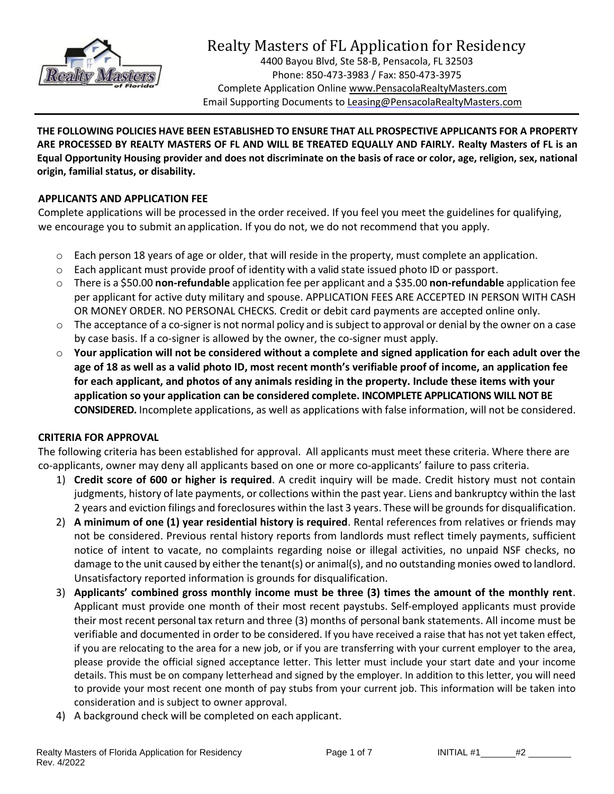

# Realty Masters of FL Application for Residency

4400 Bayou Blvd, Ste 58-B, Pensacola, FL 32503 Phone: 850-473-3983 / Fax: 850-473-3975 Complete Application Online www.PensacolaRealtyMasters.com Email Supporting Documents t[o Leasing@PensacolaRealtyMasters.com](mailto:Leasing@PensacolaRealtyMasters.com)

**THE FOLLOWING POLICIES HAVE BEEN ESTABLISHED TO ENSURE THAT ALL PROSPECTIVE APPLICANTS FOR A PROPERTY ARE PROCESSED BY REALTY MASTERS OF FL AND WILL BE TREATED EQUALLY AND FAIRLY. Realty Masters of FL is an Equal Opportunity Housing provider and does not discriminate on the basis of race or color, age, religion, sex, national origin, familial status, or disability.**

# **APPLICANTS AND APPLICATION FEE**

Complete applications will be processed in the order received. If you feel you meet the guidelines for qualifying, we encourage you to submit an application. If you do not, we do not recommend that you apply.

- $\circ$  Each person 18 years of age or older, that will reside in the property, must complete an application.
- $\circ$  Each applicant must provide proof of identity with a valid state issued photo ID or passport.
- o There is a \$50.00 **non-refundable** application fee per applicant and a \$35.00 **non-refundable** application fee per applicant for active duty military and spouse. APPLICATION FEES ARE ACCEPTED IN PERSON WITH CASH OR MONEY ORDER. NO PERSONAL CHECKS*.* Credit or debit card payments are accepted online only.
- o The acceptance of a co-signer is not normal policy and issubject to approval or denial by the owner on a case by case basis. If a co-signer is allowed by the owner, the co-signer must apply.
- o **Your application will not be considered without a complete and signed application for each adult over the age of 18 as well as a valid photo ID, most recent month's verifiable proof of income, an application fee for each applicant, and photos of any animals residing in the property. Include these items with your application so your application can be considered complete. INCOMPLETE APPLICATIONS WILL NOT BE CONSIDERED.** Incomplete applications, as well as applications with false information, will not be considered.

## **CRITERIA FOR APPROVAL**

The following criteria has been established for approval. All applicants must meet these criteria. Where there are co-applicants, owner may deny all applicants based on one or more co-applicants' failure to pass criteria.

- 1) **Credit score of 600 or higher is required**. A credit inquiry will be made. Credit history must not contain judgments, history of late payments, or collections within the past year. Liens and bankruptcy within the last 2 years and eviction filings and foreclosures within the last 3 years. These will be grounds for disqualification.
- 2) **A minimum of one (1) year residential history is required**. Rental references from relatives or friends may not be considered. Previous rental history reports from landlords must reflect timely payments, sufficient notice of intent to vacate, no complaints regarding noise or illegal activities, no unpaid NSF checks, no damage to the unit caused by either the tenant(s) or animal(s), and no outstanding monies owed to landlord. Unsatisfactory reported information is grounds for disqualification.
- 3) **Applicants' combined gross monthly income must be three (3) times the amount of the monthly rent**. Applicant must provide one month of their most recent paystubs. Self-employed applicants must provide their most recent personal tax return and three (3) months of personal bank statements. All income must be verifiable and documented in order to be considered. If you have received a raise that has not yet taken effect, if you are relocating to the area for a new job, or if you are transferring with your current employer to the area, please provide the official signed acceptance letter. This letter must include your start date and your income details. This must be on company letterhead and signed by the employer. In addition to this letter, you will need to provide your most recent one month of pay stubs from your current job. This information will be taken into consideration and is subject to owner approval.
- 4) A background check will be completed on each applicant.

Page 1 of 7 **INITIAL #1** #2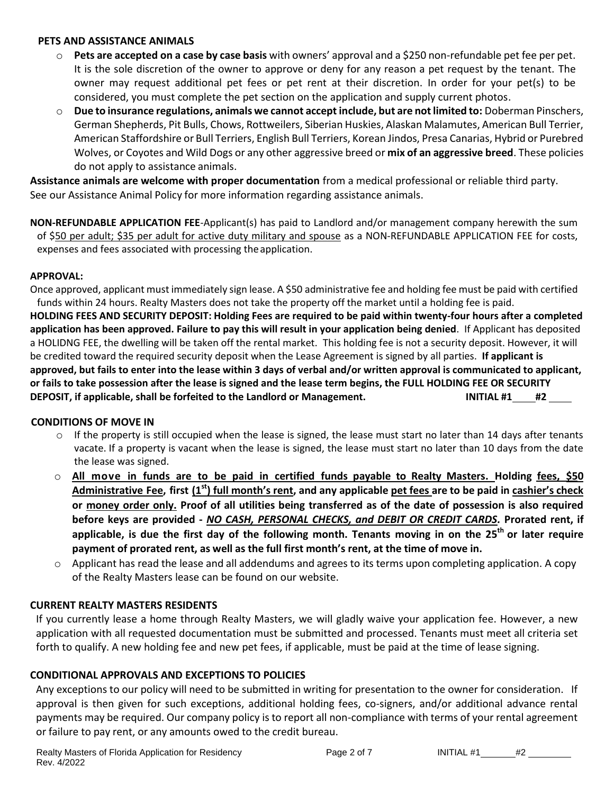#### **PETS AND ASSISTANCE ANIMALS**

- o **Pets are accepted on a case by case basis** with owners' approval and a \$250 non-refundable pet fee per pet. It is the sole discretion of the owner to approve or deny for any reason a pet request by the tenant. The owner may request additional pet fees or pet rent at their discretion. In order for your pet(s) to be considered, you must complete the pet section on the application and supply current photos.
- o **Due to insurance regulations, animals we cannot accept include, but are not limited to:** Doberman Pinschers, German Shepherds, Pit Bulls, Chows, Rottweilers, Siberian Huskies, Alaskan Malamutes, American Bull Terrier, American Staffordshire or Bull Terriers, English Bull Terriers, Korean Jindos, Presa Canarias, Hybrid or Purebred Wolves, or Coyotes and Wild Dogs or any other aggressive breed or **mix of an aggressive breed**. These policies do not apply to assistance animals.

**Assistance animals are welcome with proper documentation** from a medical professional or reliable third party. See our Assistance Animal Policy for more information regarding assistance animals.

**NON-REFUNDABLE APPLICATION FEE**-Applicant(s) has paid to Landlord and/or management company herewith the sum of \$50 per adult; \$35 per adult for active duty military and spouse as a NON-REFUNDABLE APPLICATION FEE for costs, expenses and fees associated with processing the application.

#### **APPROVAL:**

Once approved, applicant must immediately sign lease. A \$50 administrative fee and holding fee must be paid with certified funds within 24 hours. Realty Masters does not take the property off the market until a holding fee is paid. **HOLDING FEES AND SECURITY DEPOSIT: Holding Fees are required to be paid within twenty-four hours after a completed application has been approved. Failure to pay this will result in your application being denied**. If Applicant has deposited a HOLIDNG FEE, the dwelling will be taken off the rental market. This holding fee is not a security deposit. However, it will be credited toward the required security deposit when the Lease Agreement is signed by all parties. **If applicant is approved, but fails to enter into the lease within 3 days of verbal and/or written approval is communicated to applicant, or fails to take possession after the lease is signed and the lease term begins, the FULL HOLDING FEE OR SECURITY DEPOSIT, if applicable, shall be forfeited to the Landlord or Management. INITIAL #1 #2**

## **CONDITIONS OF MOVE IN**

- $\circ$  If the property is still occupied when the lease is signed, the lease must start no later than 14 days after tenants vacate. If a property is vacant when the lease is signed, the lease must start no later than 10 days from the date the lease was signed.
- o **All move in funds are to be paid in certified funds payable to Realty Masters. Holding fees, \$50 Administrative Fee, first (1st) full month's rent, and any applicable pet fees are to be paid in cashier's check or money order only. Proof of all utilities being transferred as of the date of possession is also required before keys are provided -** *NO CASH, PERSONAL CHECKS, and DEBIT OR CREDIT CARDS.* **Prorated rent, if applicable, is due the first day of the following month. Tenants moving in on the 25th or later require payment of prorated rent, as well as the full first month's rent, at the time of move in.**
- $\circ$  Applicant has read the lease and all addendums and agrees to its terms upon completing application. A copy of the Realty Masters lease can be found on our website.

## **CURRENT REALTY MASTERS RESIDENTS**

If you currently lease a home through Realty Masters, we will gladly waive your application fee. However, a new application with all requested documentation must be submitted and processed. Tenants must meet all criteria set forth to qualify. A new holding fee and new pet fees, if applicable, must be paid at the time of lease signing.

#### **CONDITIONAL APPROVALS AND EXCEPTIONS TO POLICIES**

Any exceptions to our policy will need to be submitted in writing for presentation to the owner for consideration. If approval is then given for such exceptions, additional holding fees, co-signers, and/or additional advance rental payments may be required. Our company policy is to report all non-compliance with terms of your rental agreement or failure to pay rent, or any amounts owed to the credit bureau.

Page 2 of 7 INITIAL  $#1$   $#2$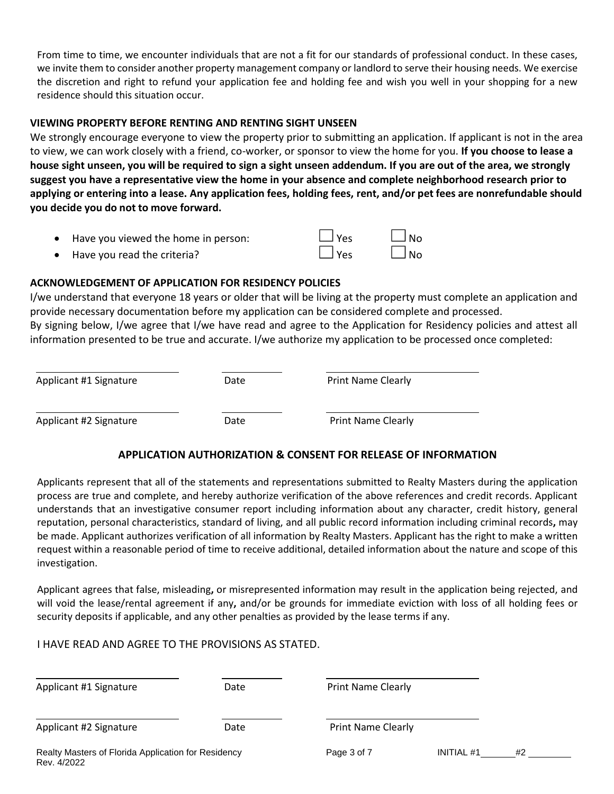From time to time, we encounter individuals that are not a fit for our standards of professional conduct. In these cases, we invite them to consider another property management company or landlord to serve their housing needs. We exercise the discretion and right to refund your application fee and holding fee and wish you well in your shopping for a new residence should this situation occur.

#### **VIEWING PROPERTY BEFORE RENTING AND RENTING SIGHT UNSEEN**

We strongly encourage everyone to view the property prior to submitting an application. If applicant is not in the area to view, we can work closely with a friend, co-worker, or sponsor to view the home for you. **If you choose to lease a house sight unseen, you will be required to sign a sight unseen addendum. If you are out of the area, we strongly suggest you have a representative view the home in your absence and complete neighborhood research prior to applying or entering into a lease. Any application fees, holding fees, rent, and/or pet fees are nonrefundable should you decide you do not to move forward.**

| Have you viewed the home in person: | $\Box$ Yes | $\Box$ No |
|-------------------------------------|------------|-----------|
| • Have you read the criteria?       | $\Box$ Yes | $\Box$ No |

## **ACKNOWLEDGEMENT OF APPLICATION FOR RESIDENCY POLICIES**

I/we understand that everyone 18 years or older that will be living at the property must complete an application and provide necessary documentation before my application can be considered complete and processed. By signing below, I/we agree that I/we have read and agree to the Application for Residency policies and attest all information presented to be true and accurate. I/we authorize my application to be processed once completed:

| Applicant #1 Signature | Date | <b>Print Name Clearly</b> |
|------------------------|------|---------------------------|
| Applicant #2 Signature | Date | <b>Print Name Clearly</b> |

# **APPLICATION AUTHORIZATION & CONSENT FOR RELEASE OF INFORMATION**

Applicants represent that all of the statements and representations submitted to Realty Masters during the application process are true and complete, and hereby authorize verification of the above references and credit records. Applicant understands that an investigative consumer report including information about any character, credit history, general reputation, personal characteristics, standard of living, and all public record information including criminal records**,** may be made. Applicant authorizes verification of all information by Realty Masters. Applicant has the right to make a written request within a reasonable period of time to receive additional, detailed information about the nature and scope of this investigation.

Applicant agrees that false, misleading**,** or misrepresented information may result in the application being rejected, and will void the lease/rental agreement if any**,** and/or be grounds for immediate eviction with loss of all holding fees or security deposits if applicable, and any other penalties as provided by the lease terms if any.

## I HAVE READ AND AGREE TO THE PROVISIONS AS STATED.

| Applicant #1 Signature                                             | Date | <b>Print Name Clearly</b> |                   |    |
|--------------------------------------------------------------------|------|---------------------------|-------------------|----|
| Applicant #2 Signature                                             | Date | <b>Print Name Clearly</b> |                   |    |
| Realty Masters of Florida Application for Residency<br>Rev. 4/2022 |      | Page 3 of 7               | <b>INITIAL #1</b> | #2 |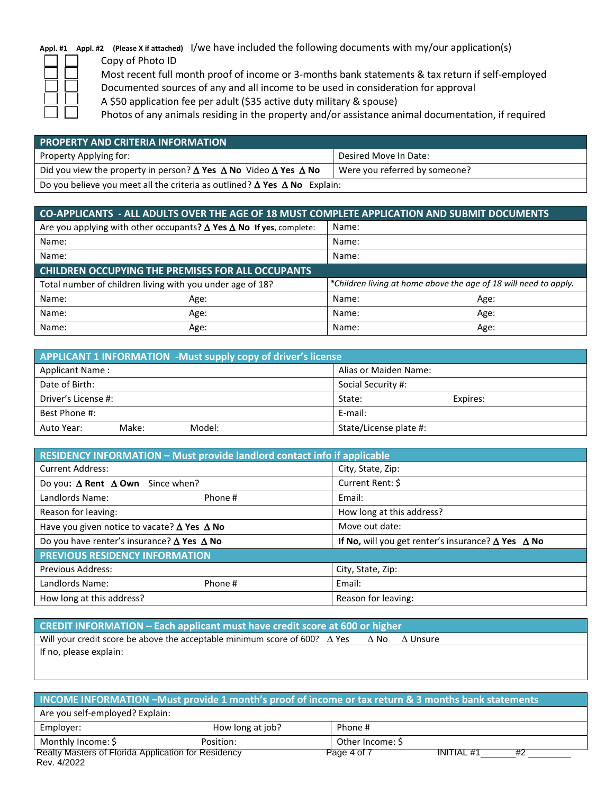# **Appl. #1 Appl. #2 (Please X if attached)** I/we have included the following documents with my/our application(s)

Copy of Photo ID Most recent full month proof of income or 3-months bank statements & tax return if self-employed Documented sources of any and all income to be used in consideration for approval

A \$50 application fee per adult (\$35 active duty military & spouse)

Photos of any animals residing in the property and/or assistance animal documentation, if required

| <b>PROPERTY AND CRITERIA INFORMATION</b>                                                     |                               |  |  |  |
|----------------------------------------------------------------------------------------------|-------------------------------|--|--|--|
| Property Applying for:                                                                       | Desired Move In Date:         |  |  |  |
| Did you view the property in person? $\Delta$ Yes $\Delta$ No Video $\Delta$ Yes $\Delta$ No | Were you referred by someone? |  |  |  |
| Do you believe you meet all the criteria as outlined? $\Delta$ Yes $\Delta$ No Explain:      |                               |  |  |  |

| CO-APPLICANTS - ALL ADULTS OVER THE AGE OF 18 MUST COMPLETE APPLICATION AND SUBMIT DOCUMENTS |                                                                                   |       |                                                                  |
|----------------------------------------------------------------------------------------------|-----------------------------------------------------------------------------------|-------|------------------------------------------------------------------|
|                                                                                              | Are you applying with other occupants? $\Delta$ Yes $\Delta$ No If yes, complete: | Name: |                                                                  |
| Name:                                                                                        |                                                                                   | Name: |                                                                  |
| Name:                                                                                        |                                                                                   | Name: |                                                                  |
| <b>CHILDREN OCCUPYING THE PREMISES FOR ALL OCCUPANTS</b>                                     |                                                                                   |       |                                                                  |
|                                                                                              | Total number of children living with you under age of 18?                         |       | *Children living at home above the age of 18 will need to apply. |
| Name:                                                                                        | Age:                                                                              | Name: | Age:                                                             |
| Name:                                                                                        | Age:                                                                              | Name: | Age:                                                             |
| Name:                                                                                        | Age:                                                                              | Name: | Age:                                                             |

| APPLICANT 1 INFORMATION -Must supply copy of driver's license |        |                        |          |
|---------------------------------------------------------------|--------|------------------------|----------|
| <b>Applicant Name:</b>                                        |        | Alias or Maiden Name:  |          |
| Date of Birth:                                                |        | Social Security #:     |          |
| Driver's License #:                                           |        | State:                 | Expires: |
| Best Phone #:                                                 |        | E-mail:                |          |
| Make:<br>Auto Year:                                           | Model: | State/License plate #: |          |

| <b>RESIDENCY INFORMATION - Must provide landlord contact info if applicable</b> |                                                                  |  |  |  |
|---------------------------------------------------------------------------------|------------------------------------------------------------------|--|--|--|
| <b>Current Address:</b>                                                         | City, State, Zip:                                                |  |  |  |
| Do you: $\Delta$ Rent $\Delta$ Own Since when?                                  | Current Rent: \$                                                 |  |  |  |
| Landlords Name:<br>Phone #                                                      | Email:                                                           |  |  |  |
| Reason for leaving:                                                             | How long at this address?                                        |  |  |  |
| Have you given notice to vacate? $\Delta$ Yes $\Delta$ No                       | Move out date:                                                   |  |  |  |
| Do you have renter's insurance? $\Delta$ Yes $\Delta$ No                        | If No, will you get renter's insurance? $\Delta$ Yes $\Delta$ No |  |  |  |
| <b>PREVIOUS RESIDENCY INFORMATION</b>                                           |                                                                  |  |  |  |
| <b>Previous Address:</b>                                                        | City, State, Zip:                                                |  |  |  |
| Landlords Name:<br>Phone #                                                      | Email:                                                           |  |  |  |
| How long at this address?                                                       | Reason for leaving:                                              |  |  |  |

| <b>CREDIT INFORMATION – Each applicant must have credit score at 600 or higher</b>   |  |      |          |
|--------------------------------------------------------------------------------------|--|------|----------|
| Will your credit score be above the acceptable minimum score of 600? $\triangle$ Yes |  | A No | A Unsure |
| If no, please explain:                                                               |  |      |          |
|                                                                                      |  |      |          |

| INCOME INFORMATION -Must provide 1 month's proof of income or tax return & 3 months bank statements |                  |                  |  |  |
|-----------------------------------------------------------------------------------------------------|------------------|------------------|--|--|
| Are you self-employed? Explain:                                                                     |                  |                  |  |  |
| Employer:                                                                                           | How long at job? | Phone #          |  |  |
| Monthly Income: \$                                                                                  | Position:        | Other Income: \$ |  |  |
| <b>Realty Masters of Florida Application for Residency</b><br>Page 4 of 7<br><b>INITIAL #1</b>      |                  |                  |  |  |
| Rev. 4/2022                                                                                         |                  |                  |  |  |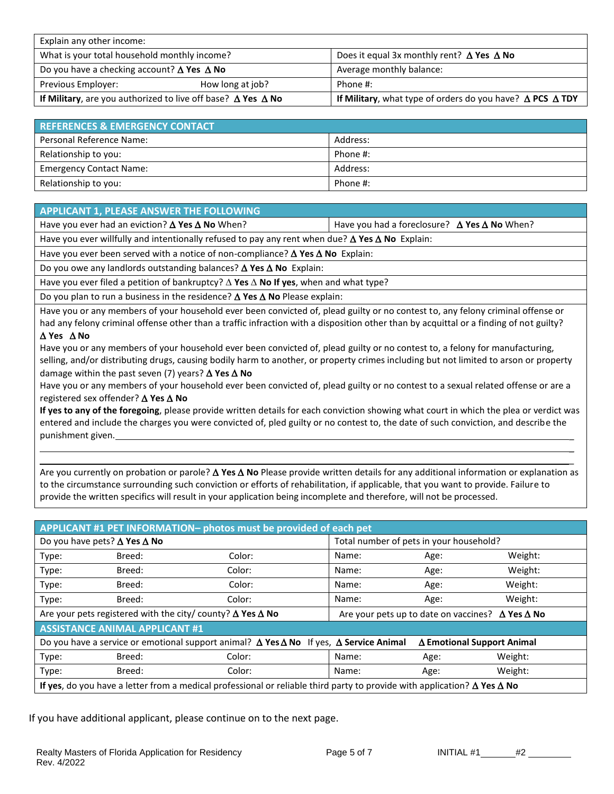| Explain any other income:                                                  |  |                                                                               |  |
|----------------------------------------------------------------------------|--|-------------------------------------------------------------------------------|--|
| What is your total household monthly income?                               |  | Does it equal 3x monthly rent? $\Delta$ Yes $\Delta$ No                       |  |
| Do you have a checking account? $\Delta$ Yes $\Delta$ No                   |  | Average monthly balance:                                                      |  |
| Previous Employer:<br>How long at job?                                     |  | Phone #:                                                                      |  |
| If Military, are you authorized to live off base? $\Delta$ Yes $\Delta$ No |  | If Military, what type of orders do you have? $\triangle$ PCS $\triangle$ TDY |  |

| <b>REFERENCES &amp; EMERGENCY CONTACT.</b> |          |  |  |
|--------------------------------------------|----------|--|--|
| Personal Reference Name:                   | Address: |  |  |
| Relationship to you:                       | Phone #: |  |  |
| <b>Emergency Contact Name:</b>             | Address: |  |  |
| Relationship to you:                       | Phone #: |  |  |

#### **APPLICANT 1, PLEASE ANSWER THE FOLLOWING**

Have you ever had an eviction?  $\triangle$  Yes  $\triangle$  No When? Have you had a foreclosure?  $\triangle$  Yes  $\triangle$  No When?

Have you ever willfully and intentionally refused to pay any rent when due?  $\Delta$  Yes  $\Delta$  No Explain:

Have you ever been served with a notice of non-compliance?  $\Delta$  Yes  $\Delta$  No Explain:

Do you owe any landlords outstanding balances? △ Yes △ No Explain:

Have you ever filed a petition of bankruptcy?  $\Delta$  Yes  $\Delta$  No If yes, when and what type?

Do you plan to run a business in the residence?  $\Delta$  Yes  $\Delta$  No Please explain:

Have you or any members of your household ever been convicted of, plead guilty or no contest to, any felony criminal offense or had any felony criminal offense other than a traffic infraction with a disposition other than by acquittal or a finding of not guilty?

#### **Yes No**

Have you or any members of your household ever been convicted of, plead guilty or no contest to, a felony for manufacturing, selling, and/or distributing drugs, causing bodily harm to another, or property crimes including but not limited to arson or property damage within the past seven (7) years?  $\triangle$  Yes  $\triangle$  No

Have you or any members of your household ever been convicted of, plead guilty or no contest to a sexual related offense or are a registered sex offender?  $\Delta$  Yes  $\Delta$  No

**If yes to any of the foregoing**, please provide written details for each conviction showing what court in which the plea or verdict was entered and include the charges you were convicted of, pled guilty or no contest to, the date of such conviction, and describe the punishment given.

Are you currently on probation or parole?  $\Delta$  Yes  $\Delta$  No Please provide written details for any additional information or explanation as to the circumstance surrounding such conviction or efforts of rehabilitation, if applicable, that you want to provide. Failure to provide the written specifics will result in your application being incomplete and therefore, will not be processed.

| APPLICANT #1 PET INFORMATION- photos must be provided of each pet                                                                                |                                                                          |        |                                                                |                                         |         |  |
|--------------------------------------------------------------------------------------------------------------------------------------------------|--------------------------------------------------------------------------|--------|----------------------------------------------------------------|-----------------------------------------|---------|--|
| Do you have pets? $\Delta$ Yes $\Delta$ No                                                                                                       |                                                                          |        |                                                                | Total number of pets in your household? |         |  |
| Type:                                                                                                                                            | Breed:                                                                   | Color: | Name:                                                          | Age:                                    | Weight: |  |
| Type:                                                                                                                                            | Breed:                                                                   | Color: | Name:                                                          | Age:                                    | Weight: |  |
| Type:                                                                                                                                            | Breed:                                                                   | Color: | Name:                                                          | Age:                                    | Weight: |  |
| Type:                                                                                                                                            | Breed:                                                                   | Color: | Name:                                                          | Age:                                    | Weight: |  |
|                                                                                                                                                  | Are your pets registered with the city/ county? $\Delta$ Yes $\Delta$ No |        | Are your pets up to date on vaccines? $\Delta$ Yes $\Delta$ No |                                         |         |  |
| <b>ASSISTANCE ANIMAL APPLICANT #1</b>                                                                                                            |                                                                          |        |                                                                |                                         |         |  |
| Do you have a service or emotional support animal? $\Delta$ Yes $\Delta$ No If yes, $\Delta$ Service Animal<br>$\Delta$ Emotional Support Animal |                                                                          |        |                                                                |                                         |         |  |
| Type:                                                                                                                                            | Breed:                                                                   | Color: | Name:                                                          | Age:                                    | Weight: |  |
| Type:                                                                                                                                            | Breed:                                                                   | Color: | Name:                                                          | Age:                                    | Weight: |  |
| If yes, do you have a letter from a medical professional or reliable third party to provide with application? $\Delta$ Yes $\Delta$ No           |                                                                          |        |                                                                |                                         |         |  |

If you have additional applicant, please continue on to the next page.

\_ \_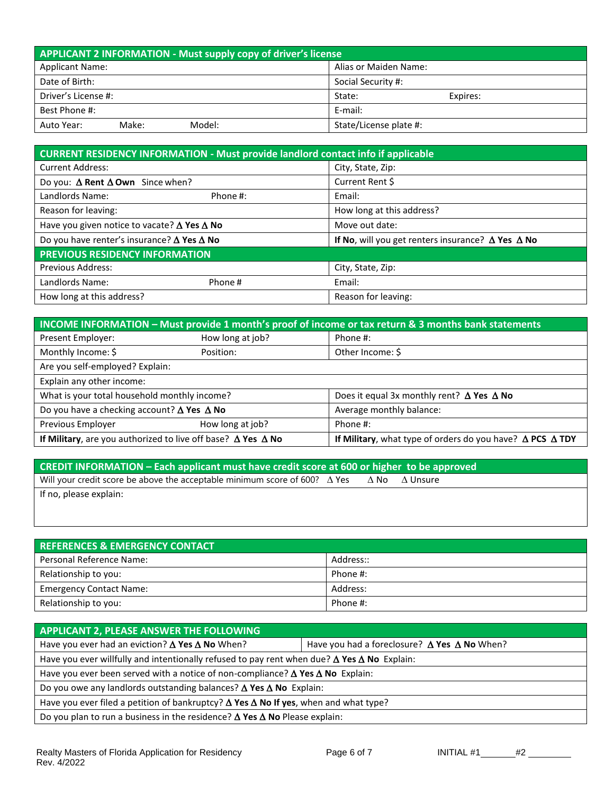| APPLICANT 2 INFORMATION - Must supply copy of driver's license |                        |  |  |
|----------------------------------------------------------------|------------------------|--|--|
| <b>Applicant Name:</b>                                         | Alias or Maiden Name:  |  |  |
| Date of Birth:                                                 | Social Security #:     |  |  |
| Driver's License #:                                            | State:<br>Expires:     |  |  |
| Best Phone #:                                                  | E-mail:                |  |  |
| Model:<br>Make:<br>Auto Year:                                  | State/License plate #: |  |  |

| <b>CURRENT RESIDENCY INFORMATION - Must provide landlord contact info if applicable</b> |          |                                                                 |  |
|-----------------------------------------------------------------------------------------|----------|-----------------------------------------------------------------|--|
| <b>Current Address:</b>                                                                 |          | City, State, Zip:                                               |  |
| Do you: $\Delta$ Rent $\Delta$ Own Since when?                                          |          | Current Rent \$                                                 |  |
| Landlords Name:                                                                         | Phone #: | Email:                                                          |  |
| Reason for leaving:                                                                     |          | How long at this address?                                       |  |
| Have you given notice to vacate? $\Delta$ Yes $\Delta$ No                               |          | Move out date:                                                  |  |
| Do you have renter's insurance? $\Delta$ Yes $\Delta$ No                                |          | If No, will you get renters insurance? $\Delta$ Yes $\Delta$ No |  |
| <b>PREVIOUS RESIDENCY INFORMATION</b>                                                   |          |                                                                 |  |
| <b>Previous Address:</b>                                                                |          | City, State, Zip:                                               |  |
| Landlords Name:                                                                         | Phone#   | Email:                                                          |  |
| How long at this address?                                                               |          | Reason for leaving:                                             |  |

| INCOME INFORMATION - Must provide 1 month's proof of income or tax return & 3 months bank statements |                  |                                                                               |  |
|------------------------------------------------------------------------------------------------------|------------------|-------------------------------------------------------------------------------|--|
| Present Employer:                                                                                    | How long at job? | Phone #:                                                                      |  |
| Monthly Income: \$                                                                                   | Position:        | Other Income: \$                                                              |  |
| Are you self-employed? Explain:                                                                      |                  |                                                                               |  |
| Explain any other income:                                                                            |                  |                                                                               |  |
| What is your total household monthly income?                                                         |                  | Does it equal 3x monthly rent? $\Delta$ Yes $\Delta$ No                       |  |
| Do you have a checking account? $\Delta$ Yes $\Delta$ No                                             |                  | Average monthly balance:                                                      |  |
| Previous Employer                                                                                    | How long at job? | Phone #:                                                                      |  |
| If Military, are you authorized to live off base? $\Delta$ Yes $\Delta$ No                           |                  | If Military, what type of orders do you have? $\triangle$ PCS $\triangle$ TDY |  |

| <b>CREDIT INFORMATION - Each applicant must have credit score at 600 or higher to be approved</b> |      |                 |  |  |  |
|---------------------------------------------------------------------------------------------------|------|-----------------|--|--|--|
| Will your credit score be above the acceptable minimum score of 600? $\triangle$ Yes              | A No | $\Delta$ Unsure |  |  |  |
| If no, please explain:                                                                            |      |                 |  |  |  |
|                                                                                                   |      |                 |  |  |  |

| <b>REFERENCES &amp; EMERGENCY CONTACT</b> |           |  |  |
|-------------------------------------------|-----------|--|--|
| Personal Reference Name:                  | Address:: |  |  |
| Relationship to you:                      | Phone #:  |  |  |
| <b>Emergency Contact Name:</b>            | Address:  |  |  |
| Relationship to you:                      | Phone #:  |  |  |

| APPLICANT 2, PLEASE ANSWER THE FOLLOWING                                                                  |                                                            |  |  |
|-----------------------------------------------------------------------------------------------------------|------------------------------------------------------------|--|--|
| Have you ever had an eviction? $\Delta$ Yes $\Delta$ No When?                                             | Have you had a foreclosure? $\Delta$ Yes $\Delta$ No When? |  |  |
| Have you ever willfully and intentionally refused to pay rent when due? $\Delta$ Yes $\Delta$ No Explain: |                                                            |  |  |
| Have you ever been served with a notice of non-compliance? $\Delta$ Yes $\Delta$ No Explain:              |                                                            |  |  |
| Do you owe any landlords outstanding balances? $\Delta$ Yes $\Delta$ No Explain:                          |                                                            |  |  |
| Have you ever filed a petition of bankruptcy? $\Delta$ Yes $\Delta$ No If yes, when and what type?        |                                                            |  |  |
| Do you plan to run a business in the residence? $\Delta$ Yes $\Delta$ No Please explain:                  |                                                            |  |  |

Page 6 of 7 **INITIAL #1** #2